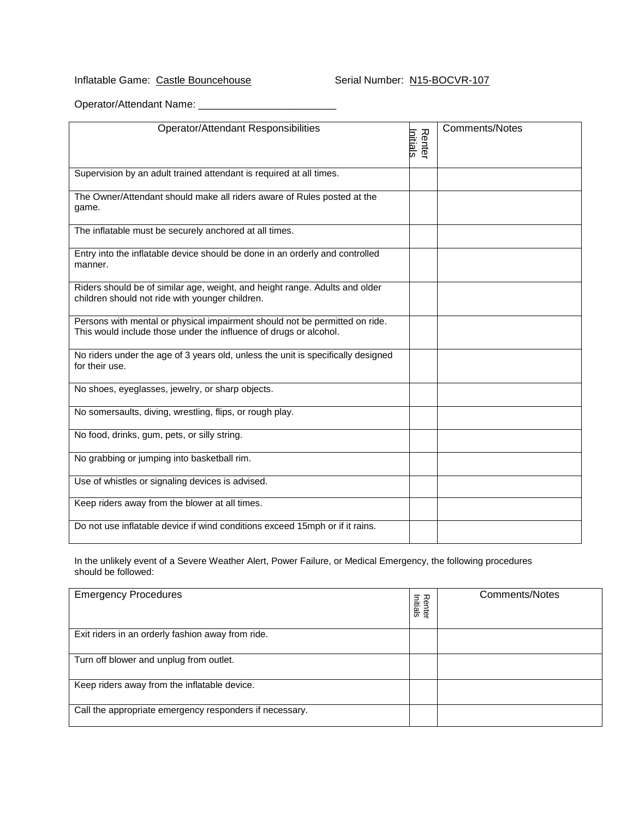## Inflatable Game: Castle Bouncehouse Serial Number: N15-BOCVR-107

Operator/Attendant Name: \_\_\_\_\_\_\_\_\_\_\_\_\_\_\_\_\_\_\_\_\_\_\_\_

| <b>Operator/Attendant Responsibilities</b>                                                                                                       | <b>Renter</b><br>Initials | <b>Comments/Notes</b> |
|--------------------------------------------------------------------------------------------------------------------------------------------------|---------------------------|-----------------------|
| Supervision by an adult trained attendant is required at all times.                                                                              |                           |                       |
| The Owner/Attendant should make all riders aware of Rules posted at the<br>game.                                                                 |                           |                       |
| The inflatable must be securely anchored at all times.                                                                                           |                           |                       |
| Entry into the inflatable device should be done in an orderly and controlled<br>manner.                                                          |                           |                       |
| Riders should be of similar age, weight, and height range. Adults and older<br>children should not ride with younger children.                   |                           |                       |
| Persons with mental or physical impairment should not be permitted on ride.<br>This would include those under the influence of drugs or alcohol. |                           |                       |
| No riders under the age of 3 years old, unless the unit is specifically designed<br>for their use.                                               |                           |                       |
| No shoes, eyeglasses, jewelry, or sharp objects.                                                                                                 |                           |                       |
| No somersaults, diving, wrestling, flips, or rough play.                                                                                         |                           |                       |
| No food, drinks, gum, pets, or silly string.                                                                                                     |                           |                       |
| No grabbing or jumping into basketball rim.                                                                                                      |                           |                       |
| Use of whistles or signaling devices is advised.                                                                                                 |                           |                       |
| Keep riders away from the blower at all times.                                                                                                   |                           |                       |
| Do not use inflatable device if wind conditions exceed 15mph or if it rains.                                                                     |                           |                       |

In the unlikely event of a Severe Weather Alert, Power Failure, or Medical Emergency, the following procedures should be followed:

| <b>Emergency Procedures</b>                             | Renter<br>Initials | <b>Comments/Notes</b> |
|---------------------------------------------------------|--------------------|-----------------------|
| Exit riders in an orderly fashion away from ride.       |                    |                       |
| Turn off blower and unplug from outlet.                 |                    |                       |
| Keep riders away from the inflatable device.            |                    |                       |
| Call the appropriate emergency responders if necessary. |                    |                       |